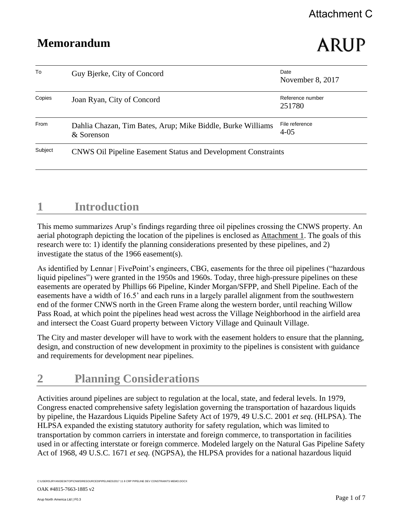# ARUP

| To      | Guy Bjerke, City of Concord                                               | Date<br>November 8, 2017   |
|---------|---------------------------------------------------------------------------|----------------------------|
| Copies  | Joan Ryan, City of Concord                                                | Reference number<br>251780 |
| From    | Dahlia Chazan, Tim Bates, Arup; Mike Biddle, Burke Williams<br>& Sorenson | File reference<br>$4 - 05$ |
| Subject | <b>CNWS Oil Pipeline Easement Status and Development Constraints</b>      |                            |

## **1 Introduction**

This memo summarizes Arup's findings regarding three oil pipelines crossing the CNWS property. An aerial photograph depicting the location of the pipelines is enclosed as Attachment 1. The goals of this research were to: 1) identify the planning considerations presented by these pipelines, and 2) investigate the status of the 1966 easement(s).

As identified by Lennar | FivePoint's engineers, CBG, easements for the three oil pipelines ("hazardous liquid pipelines") were granted in the 1950s and 1960s. Today, three high-pressure pipelines on these easements are operated by Phillips 66 Pipeline, Kinder Morgan/SFPP, and Shell Pipeline. Each of the easements have a width of 16.5' and each runs in a largely parallel alignment from the southwestern end of the former CNWS north in the Green Frame along the western border, until reaching Willow Pass Road, at which point the pipelines head west across the Village Neighborhood in the airfield area and intersect the Coast Guard property between Victory Village and Quinault Village.

The City and master developer will have to work with the easement holders to ensure that the planning, design, and construction of new development in proximity to the pipelines is consistent with guidance and requirements for development near pipelines.

## **2 Planning Considerations**

Activities around pipelines are subject to regulation at the local, state, and federal levels. In 1979, Congress enacted comprehensive safety legislation governing the transportation of hazardous liquids by pipeline, the Hazardous Liquids Pipeline Safety Act of 1979, 49 U.S.C. 2001 *et seq*. (HLPSA). The HLPSA expanded the existing statutory authority for safety regulation, which was limited to transportation by common carriers in interstate and foreign commerce, to transportation in facilities used in or affecting interstate or foreign commerce. Modeled largely on the Natural Gas Pipeline Safety Act of 1968, 49 U.S.C. 1671 *et seq.* (NGPSA), the HLPSA provides for a national hazardous liquid

C:\USERS\JRYAN\DESKTOP\CNWS\RESOURCES\PIPELINES\2017 11 8 CRP PIPELINE DEV CONSTRAINTS MEMO.DOCX

OAK #4815-7663-1885 v2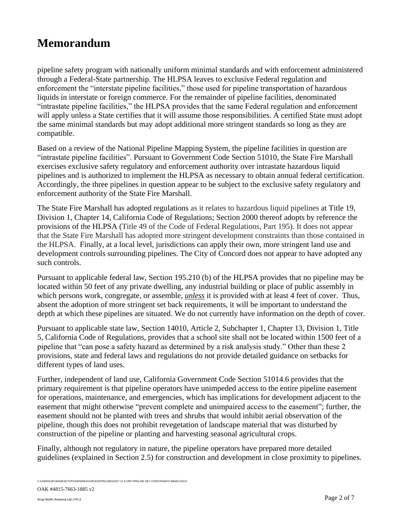pipeline safety program with nationally uniform minimal standards and with enforcement administered through a Federal-State partnership. The HLPSA leaves to exclusive Federal regulation and enforcement the "interstate pipeline facilities," those used for pipeline transportation of hazardous liquids in interstate or foreign commerce. For the remainder of pipeline facilities, denominated "intrastate pipeline facilities," the HLPSA provides that the same Federal regulation and enforcement will apply unless a State certifies that it will assume those responsibilities. A certified State must adopt the same minimal standards but may adopt additional more stringent standards so long as they are compatible.

Based on a review of the National Pipeline Mapping System, the pipeline facilities in question are "intrastate pipeline facilities". Pursuant to Government Code Section 51010, the State Fire Marshall exercises exclusive safety regulatory and enforcement authority over intrastate hazardous liquid pipelines and is authorized to implement the HLPSA as necessary to obtain annual federal certification. Accordingly, the three pipelines in question appear to be subject to the exclusive safety regulatory and enforcement authority of the State Fire Marshall.

The State Fire Marshall has adopted regulations as it relates to hazardous liquid pipelines at Title 19, Division 1, Chapter 14, California Code of Regulations; Section 2000 thereof adopts by reference the provisions of the HLPSA (Title 49 of the Code of Federal Regulations, Part 195). It does not appear that the State Fire Marshall has adopted more stringent development constraints than those contained in the HLPSA. Finally, at a local level, jurisdictions can apply their own, more stringent land use and development controls surrounding pipelines. The City of Concord does not appear to have adopted any such controls.

Pursuant to applicable federal law, Section 195.210 (b) of the HLPSA provides that no pipeline may be located within 50 feet of any private dwelling, any industrial building or place of public assembly in which persons work, congregate, or assemble, *unless* it is provided with at least 4 feet of cover. Thus, absent the adoption of more stringent set back requirements, it will be important to understand the depth at which these pipelines are situated. We do not currently have information on the depth of cover.

Pursuant to applicable state law, Section 14010, Article 2, Subchapter 1, Chapter 13, Division 1, Title 5, California Code of Regulations, provides that a school site shall not be located within 1500 feet of a pipeline that "can pose a safety hazard as determined by a risk analysis study." Other than these 2 provisions, state and federal laws and regulations do not provide detailed guidance on setbacks for different types of land uses.

Further, independent of land use, California Government Code Section 51014.6 provides that the primary requirement is that pipeline operators have unimpeded access to the entire pipeline easement for operations, maintenance, and emergencies, which has implications for development adjacent to the easement that might otherwise "prevent complete and unimpaired access to the easement"; further, the easement should not be planted with trees and shrubs that would inhibit aerial observation of the pipeline, though this does not prohibit revegetation of landscape material that was disturbed by construction of the pipeline or planting and harvesting seasonal agricultural crops.

Finally, although not regulatory in nature, the pipeline operators have prepared more detailed guidelines (explained in Section 2.5) for construction and development in close proximity to pipelines.

C:\USERS\JRYAN\DESKTOP\CNWS\RESOURCES\PIPELINES\2017 11 8 CRP PIPELINE DEV CONSTRAINTS MEMO.DOCX

OAK #4815-7663-1885 v2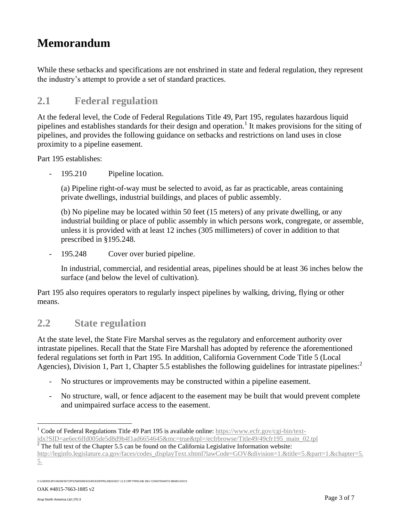While these setbacks and specifications are not enshrined in state and federal regulation, they represent the industry's attempt to provide a set of standard practices.

#### **2.1 Federal regulation**

At the federal level, the Code of Federal Regulations Title 49, Part 195, regulates hazardous liquid pipelines and establishes standards for their design and operation.<sup>1</sup> It makes provisions for the siting of pipelines, and provides the following guidance on setbacks and restrictions on land uses in close proximity to a pipeline easement.

Part 195 establishes:

195.210 Pipeline location.

(a) Pipeline right-of-way must be selected to avoid, as far as practicable, areas containing private dwellings, industrial buildings, and places of public assembly.

(b) No pipeline may be located within 50 feet (15 meters) of any private dwelling, or any industrial building or place of public assembly in which persons work, congregate, or assemble, unless it is provided with at least 12 inches (305 millimeters) of cover in addition to that prescribed in §195.248.

- 195.248 Cover over buried pipeline.

In industrial, commercial, and residential areas, pipelines should be at least 36 inches below the surface (and below the level of cultivation).

Part 195 also requires operators to regularly inspect pipelines by walking, driving, flying or other means.

#### **2.2 State regulation**

At the state level, the State Fire Marshal serves as the regulatory and enforcement authority over intrastate pipelines. Recall that the State Fire Marshall has adopted by reference the aforementioned federal regulations set forth in Part 195. In addition, California Government Code Title 5 (Local Agencies), Division 1, Part 1, Chapter 5.5 establishes the following guidelines for intrastate pipelines:<sup>2</sup>

- No structures or improvements may be constructed within a pipeline easement.
- No structure, wall, or fence adjacent to the easement may be built that would prevent complete and unimpaired surface access to the easement.

 $\frac{1}{2}$  The full text of the Chapter 5.5 can be found on the California Legislative Information website:

OAK #4815-7663-1885 v2

 $\overline{a}$ 

<sup>&</sup>lt;sup>1</sup> Code of Federal Regulations Title 49 Part 195 is available online[: https://www.ecfr.gov/cgi-bin/text](https://www.ecfr.gov/cgi-bin/text-idx?SID=ae6ec6ffd005de5d8d9b4f1ad6654645&mc=true&tpl=/ecfrbrowse/Title49/49cfr195_main_02.tpl)[idx?SID=ae6ec6ffd005de5d8d9b4f1ad6654645&mc=true&tpl=/ecfrbrowse/Title49/49cfr195\\_main\\_02.tpl](https://www.ecfr.gov/cgi-bin/text-idx?SID=ae6ec6ffd005de5d8d9b4f1ad6654645&mc=true&tpl=/ecfrbrowse/Title49/49cfr195_main_02.tpl)

[http://leginfo.legislature.ca.gov/faces/codes\\_displayText.xhtml?lawCode=GOV&division=1.&title=5.&part=1.&chapter=5.](http://leginfo.legislature.ca.gov/faces/codes_displayText.xhtml?lawCode=GOV&division=1.&title=5.&part=1.&chapter=5.5.) [5.](http://leginfo.legislature.ca.gov/faces/codes_displayText.xhtml?lawCode=GOV&division=1.&title=5.&part=1.&chapter=5.5.)

C:\USERS\JRYAN\DESKTOP\CNWS\RESOURCES\PIPELINES\2017 11 8 CRP PIPELINE DEV CONSTRAINTS MEMO.DOCX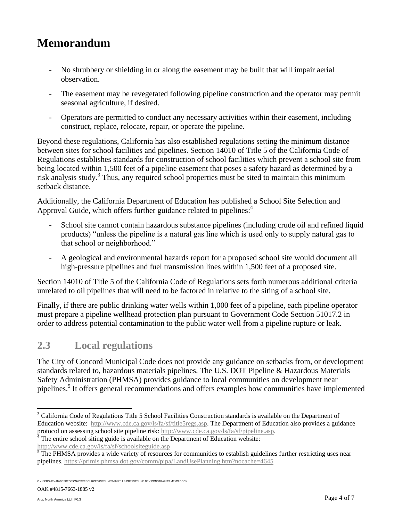- No shrubbery or shielding in or along the easement may be built that will impair aerial observation.
- The easement may be revegetated following pipeline construction and the operator may permit seasonal agriculture, if desired.
- Operators are permitted to conduct any necessary activities within their easement, including construct, replace, relocate, repair, or operate the pipeline.

Beyond these regulations, California has also established regulations setting the minimum distance between sites for school facilities and pipelines. Section 14010 of Title 5 of the California Code of Regulations establishes standards for construction of school facilities which prevent a school site from being located within 1,500 feet of a pipeline easement that poses a safety hazard as determined by a risk analysis study.<sup>3</sup> Thus, any required school properties must be sited to maintain this minimum setback distance.

Additionally, the California Department of Education has published a School Site Selection and Approval Guide, which offers further guidance related to pipelines:<sup>4</sup>

- School site cannot contain hazardous substance pipelines (including crude oil and refined liquid products) "unless the pipeline is a natural gas line which is used only to supply natural gas to that school or neighborhood."
- A geological and environmental hazards report for a proposed school site would document all high-pressure pipelines and fuel transmission lines within 1,500 feet of a proposed site.

Section 14010 of Title 5 of the California Code of Regulations sets forth numerous additional criteria unrelated to oil pipelines that will need to be factored in relative to the siting of a school site.

Finally, if there are public drinking water wells within 1,000 feet of a pipeline, each pipeline operator must prepare a pipeline wellhead protection plan pursuant to Government Code Section 51017.2 in order to address potential contamination to the public water well from a pipeline rupture or leak.

#### **2.3 Local regulations**

The City of Concord Municipal Code does not provide any guidance on setbacks from, or development standards related to, hazardous materials pipelines. The U.S. DOT Pipeline & Hazardous Materials Safety Administration (PHMSA) provides guidance to local communities on development near pipelines.<sup>5</sup> It offers general recommendations and offers examples how communities have implemented

OAK #4815-7663-1885 v2

 $\overline{a}$ 

<sup>&</sup>lt;sup>3</sup> California Code of Regulations Title 5 School Facilities Construction standards is available on the Department of Education website: [http://www.cde.ca.gov/ls/fa/sf/title5regs.asp.](http://www.cde.ca.gov/ls/fa/sf/title5regs.asp) The Department of Education also provides a guidance protocol on assessing school site pipeline risk[: http://www.cde.ca.gov/ls/fa/sf/pipeline.asp.](http://www.cde.ca.gov/ls/fa/sf/pipeline.asp)

 $4$ <sup>4</sup> The entire school siting guide is available on the Department of Education website: <http://www.cde.ca.gov/ls/fa/sf/schoolsiteguide.asp>

 $\overline{5}$  The PHMSA provides a wide variety of resources for communities to establish guidelines further restricting uses near pipelines.<https://primis.phmsa.dot.gov/comm/pipa/LandUsePlanning.htm?nocache=4645>

C:\USERS\JRYAN\DESKTOP\CNWS\RESOURCES\PIPELINES\2017 11 8 CRP PIPELINE DEV CONSTRAINTS MEMO.DOCX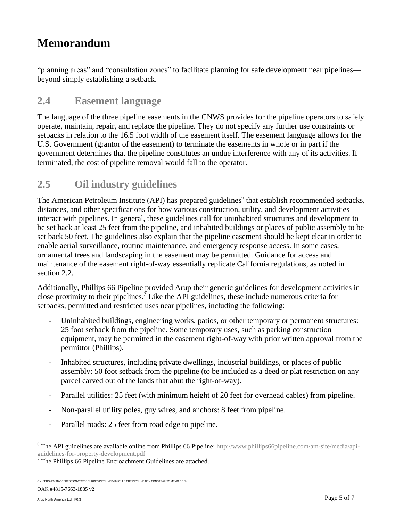"planning areas" and "consultation zones" to facilitate planning for safe development near pipelines beyond simply establishing a setback.

#### **2.4 Easement language**

The language of the three pipeline easements in the CNWS provides for the pipeline operators to safely operate, maintain, repair, and replace the pipeline. They do not specify any further use constraints or setbacks in relation to the 16.5 foot width of the easement itself. The easement language allows for the U.S. Government (grantor of the easement) to terminate the easements in whole or in part if the government determines that the pipeline constitutes an undue interference with any of its activities. If terminated, the cost of pipeline removal would fall to the operator.

#### **2.5 Oil industry guidelines**

The American Petroleum Institute (API) has prepared guidelines<sup>6</sup> that establish recommended setbacks, distances, and other specifications for how various construction, utility, and development activities interact with pipelines. In general, these guidelines call for uninhabited structures and development to be set back at least 25 feet from the pipeline, and inhabited buildings or places of public assembly to be set back 50 feet. The guidelines also explain that the pipeline easement should be kept clear in order to enable aerial surveillance, routine maintenance, and emergency response access. In some cases, ornamental trees and landscaping in the easement may be permitted. Guidance for access and maintenance of the easement right-of-way essentially replicate California regulations, as noted in section 2.2.

Additionally, Phillips 66 Pipeline provided Arup their generic guidelines for development activities in close proximity to their pipelines.<sup>7</sup> Like the API guidelines, these include numerous criteria for setbacks, permitted and restricted uses near pipelines, including the following:

- Uninhabited buildings, engineering works, patios, or other temporary or permanent structures: 25 foot setback from the pipeline. Some temporary uses, such as parking construction equipment, may be permitted in the easement right-of-way with prior written approval from the permittor (Phillips).
- Inhabited structures, including private dwellings, industrial buildings, or places of public assembly: 50 foot setback from the pipeline (to be included as a deed or plat restriction on any parcel carved out of the lands that abut the right-of-way).
- Parallel utilities: 25 feet (with minimum height of 20 feet for overhead cables) from pipeline.
- Non-parallel utility poles, guy wires, and anchors: 8 feet from pipeline.
- Parallel roads: 25 feet from road edge to pipeline.

OAK #4815-7663-1885 v2

 $\overline{a}$ 

 $6$  The API guidelines are available online from Phillips 66 Pipeline: [http://www.phillips66pipeline.com/am-site/media/api](http://www.phillips66pipeline.com/am-site/media/api-guidelines-for-property-development.pdf)[guidelines-for-property-development.pdf](http://www.phillips66pipeline.com/am-site/media/api-guidelines-for-property-development.pdf)

 $\sqrt{7}$  The Phillips 66 Pipeline Encroachment Guidelines are attached.

C:\USERS\JRYAN\DESKTOP\CNWS\RESOURCES\PIPELINES\2017 11 8 CRP PIPELINE DEV CONSTRAINTS MEMO.DOCX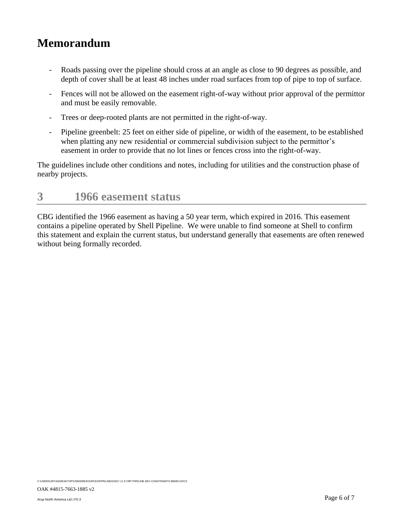- Roads passing over the pipeline should cross at an angle as close to 90 degrees as possible, and depth of cover shall be at least 48 inches under road surfaces from top of pipe to top of surface.
- Fences will not be allowed on the easement right-of-way without prior approval of the permittor and must be easily removable.
- Trees or deep-rooted plants are not permitted in the right-of-way.
- Pipeline greenbelt: 25 feet on either side of pipeline, or width of the easement, to be established when platting any new residential or commercial subdivision subject to the permittor's easement in order to provide that no lot lines or fences cross into the right-of-way.

The guidelines include other conditions and notes, including for utilities and the construction phase of nearby projects.

### **3 1966 easement status**

CBG identified the 1966 easement as having a 50 year term, which expired in 2016. This easement contains a pipeline operated by Shell Pipeline. We were unable to find someone at Shell to confirm this statement and explain the current status, but understand generally that easements are often renewed without being formally recorded.

C:\USERS\JRYAN\DESKTOP\CNWS\RESOURCES\PIPELINES\2017 11 8 CRP PIPELINE DEV CONSTRAINTS MEMO.DOCX